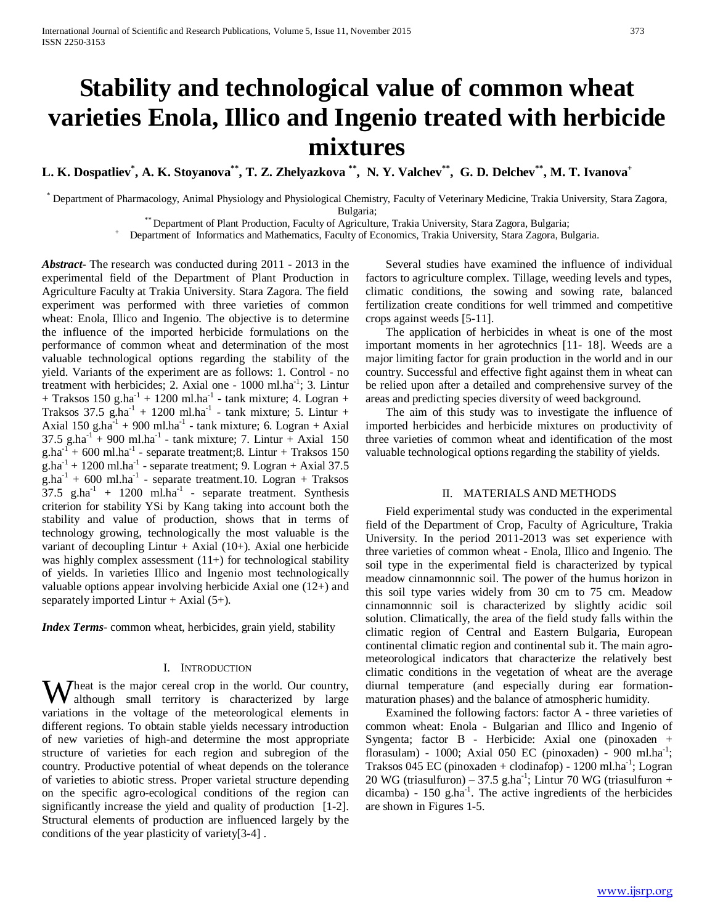# **Stability and technological value of common wheat varieties Enola, Illico and Ingenio treated with herbicide mixtures**

**L. K. Dospatliev\* , A. K. Stoyanova\*\*, T. Z. Zhelyazkova \*\*, N. Y. Valchev\*\*, G. D. Delchev\*\*, M. T. Ivanova+**

\* Department of Pharmacology, Animal Physiology and Physiological Chemistry, Faculty of Veterinary Medicine, Trakia University, Stara Zagora,

Bulgaria;<br>"Department of Plant Production, Faculty of Agriculture, Trakia University, Stara Zagora, Bulgaria; +

Department of Informatics and Mathematics, Faculty of Economics, Trakia University, Stara Zagora, Bulgaria.

*Abstract***-** The research was conducted during 2011 - 2013 in the experimental field of the Department of Plant Production in Agriculture Faculty at Trakia University. Stara Zagora. The field experiment was performed with three varieties of common wheat: Enola, Illico and Ingenio. The objective is to determine the influence of the imported herbicide formulations on the performance of common wheat and determination of the most valuable technological options regarding the stability of the yield. Variants of the experiment are as follows: 1. Control - no treatment with herbicides; 2. Axial one -  $1000$  ml.ha<sup>-1</sup>; 3. Lintur + Traksos 150 g.ha<sup>-1</sup> + 1200 ml.ha<sup>-1</sup> - tank mixture; 4. Logran + Traksos 37.5 g.ha<sup>-1</sup> + 1200 ml.ha<sup>-1</sup> - tank mixture; 5. Lintur + Axial  $150 \text{ g.ha}^{-1} + 900 \text{ m}$ l.ha<sup>-1</sup> - tank mixture; 6. Logran + Axial  $37.5 \text{ g.ha}^{-1} + 900 \text{ ml.ha}^{-1}$  - tank mixture; 7. Lintur + Axial 150  $g.ha^{-1}$  + 600 ml.ha<sup>-1</sup> - separate treatment;8. Lintur + Traksos 150  $g.ha^{-1} + 1200 ml.ha^{-1}$  - separate treatment; 9. Logran + Axial 37.5  $g.ha^{-1}$  + 600 ml.ha<sup>-1</sup> - separate treatment.10. Logran + Traksos  $37.5$  g.ha<sup>-1</sup> + 1200 ml.ha<sup>-1</sup> - separate treatment. Synthesis criterion for stability YSi by Kang taking into account both the stability and value of production, shows that in terms of technology growing, technologically the most valuable is the variant of decoupling Lintur  $+$  Axial (10+). Axial one herbicide was highly complex assessment  $(11+)$  for technological stability of yields. In varieties Illicо and Ingenio most technologically valuable options appear involving herbicide Axial one (12+) and separately imported Lintur  $+$  Axial (5+).

*Index Terms*- common wheat, herbicides, grain yield, stability

### I. INTRODUCTION

Wheat is the major cereal crop in the world. Our country, although small territory is characterized by large although small territory is characterized by large variations in the voltage of the meteorological elements in different regions. To obtain stable yields necessary introduction of new varieties of high-and determine the most appropriate structure of varieties for each region and subregion of the country. Productive potential of wheat depends on the tolerance of varieties to abiotic stress. Proper varietal structure depending on the specific agro-ecological conditions of the region can significantly increase the yield and quality of production [1-2]. Structural elements of production are influenced largely by the conditions of the year plasticity of variety[3-4] .

 Several studies have examined the influence of individual factors to agriculture complex. Tillage, weeding levels and types, climatic conditions, the sowing and sowing rate, balanced fertilization create conditions for well trimmed and competitive crops against weeds [5-11].

 The application of herbicides in wheat is one of the most important moments in her agrotechnics [11- 18]. Weeds are a major limiting factor for grain production in the world and in our country. Successful and effective fight against them in wheat can be relied upon after a detailed and comprehensive survey of the areas and predicting species diversity of weed background.

 The aim of this study was to investigate the influence of imported herbicides and herbicide mixtures on productivity of three varieties of common wheat and identification of the most valuable technological options regarding the stability of yields.

### II. MATERIALS AND METHODS

 Field experimental study was conducted in the experimental field of the Department of Crop, Faculty of Agriculture, Trakia University. In the period 2011-2013 was set experience with three varieties of common wheat - Enola, Illico and Ingenio. The soil type in the experimental field is characterized by typical meadow cinnamonnnic soil. The power of the humus horizon in this soil type varies widely from 30 cm to 75 cm. Meadow cinnamonnnic soil is characterized by slightly acidic soil solution. Climatically, the area of the field study falls within the climatic region of Central and Eastern Bulgaria, European continental climatic region and continental sub it. The main agrometeorological indicators that characterize the relatively best climatic conditions in the vegetation of wheat are the average diurnal temperature (and especially during ear formationmaturation phases) and the balance of atmospheric humidity.

 Examined the following factors: factor A - three varieties of common wheat: Enola - Bulgarian and Illico and Ingenio of Syngenta; factor B - Herbicide: Axial one (pinoxaden + florasulam) - 1000; Axial 050 EC (pinoxaden) - 900 ml.ha<sup>-1</sup>; Traksos 045 EC (pinoxaden + clodinafop) -  $1200 \text{ ml.ha}^{-1}$ ; Logran  $20 \text{ WG}$  (triasulfuron) – 37.5 g.ha<sup>-1</sup>; Lintur 70 WG (triasulfuron + dicamba) - 150 g.ha<sup>-1</sup>. The active ingredients of the herbicides are shown in Figures 1-5.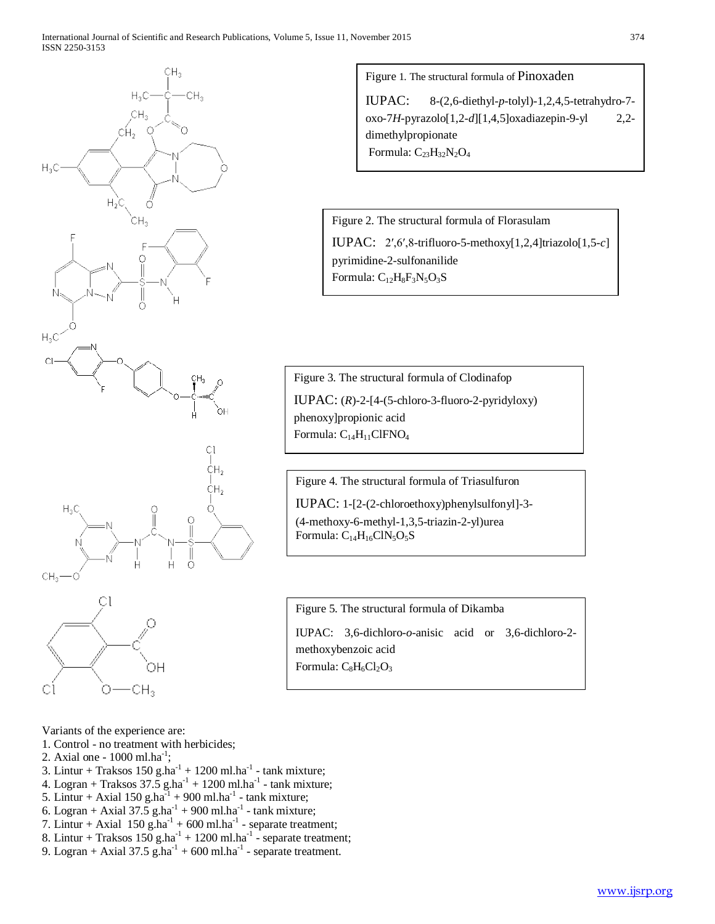





Variants of the experience are:

- 1. Control no treatment with herbicides;
- 2. Axial one  $1000$  ml.ha<sup>-1</sup>;
- 3. Lintur + Traksos  $150$  g.ha<sup>-1</sup> +  $1200$  ml.ha<sup>-1</sup> tank mixture;
- 4. Logran + Traksos  $37.\overline{5}$  g.ha<sup>-1</sup> + 1200 ml.ha<sup>-1</sup> tank mixture;
- 5. Lintur + Axial 150 g.ha $^{-1}$  + 900 ml.ha<sup>-1</sup> tank mixture;
- 6. Logran + Axial  $37.5$  g.ha<sup>-1</sup> + 900 ml.ha<sup>-1</sup> tank mixture;
- 7. Lintur + Axial  $150$  g.ha<sup>-1</sup> + 600 ml.ha<sup>-1</sup> separate treatment;
- 8. Lintur + Traksos  $150$  g.ha<sup>-1</sup> +  $1200$  ml.ha<sup>-1</sup> separate treatment;
- 9. Logran + Axial  $37.5$  g.ha<sup>-1</sup> + 600 ml.ha<sup>-1</sup> separate treatment.

Figure 1. The structural formula of Pinoxaden

IUPAC: 8-(2,6-diethyl-*p*-tolyl)-1,2,4,5-tetrahydro-7 oxo-7*H*-pyrazolo[1,2-*d*][1,4,5]oxadiazepin-9-yl 2,2 dimethylpropionate Formula:  $C_{23}H_{32}N_2O_4$ 

Figure 2. The structural formula of Florasulam IUPAC: 2′,6′,8-trifluoro-5-methoxy[1,2,4]triazolo[1,5-*c*] pyrimidine-2-sulfonanilide

Formula:  $C_{12}H_8F_3N_5O_3S$ 

Figure 3. The structural formula of Clodinafop IUPAC:  $(R)$ -2-[4-(5-chloro-3-fluoro-2-pyridyloxy) phenoxy]propionic acid Formula:  $C_{14}H_{11}CIFNO<sub>4</sub>$ 

Figure 4. The structural formula of Triasulfuron IUPAC: 1-[2-(2-chloroethoxy)phenylsulfonyl]-3- (4-methoxy-6-methyl-1,3,5-triazin-2-yl)urea Formula:  $C_{14}H_{16}C1N_5O_5S$ 

Figure 5. The structural formula of Dikamba

IUPAC: 3,6-dichloro-*o*-anisic acid or 3,6-dichloro-2 methoxybenzoic acid Formula:  $C_8H_6Cl_2O_3$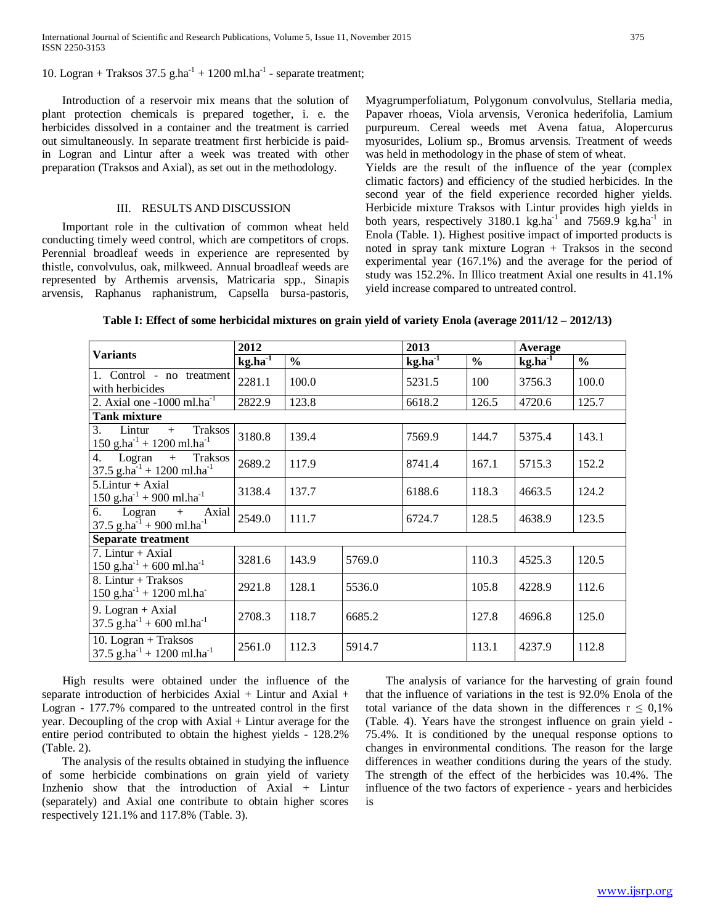10. Logran + Traksos 37.5 g.ha<sup>-1</sup> + 1200 ml.ha<sup>-1</sup> - separate treatment;

 Introduction of a reservoir mix means that the solution of plant protection chemicals is prepared together, i. e. the herbicides dissolved in a container and the treatment is carried out simultaneously. In separate treatment first herbicide is paidin Logran and Lintur after a week was treated with other preparation (Traksos and Axial), as set out in the methodology.

#### III. RESULTS AND DISCUSSION

 Important role in the cultivation of common wheat held conducting timely weed control, which are competitors of crops. Perennial broadleaf weeds in experience are represented by thistle, convolvulus, oak, milkweed. Annual broadleaf weeds are represented by Arthemis arvensis, Matricaria spp., Sinapis arvensis, Raphanus raphanistrum, Capsella bursa-pastoris,

Myagrumperfoliatum, Polygonum convolvulus, Stellaria media, Papaver rhoeas, Viola arvensis, Veronica hederifolia, Lamium purpureum. Cereal weeds met Avena fatua, Alopercurus myosurides, Lolium sp., Bromus arvensis. Treatment of weeds was held in methodology in the phase of stem of wheat.

Yields are the result of the influence of the year (complex climatic factors) and efficiency of the studied herbicides. In the second year of the field experience recorded higher yields. Herbicide mixture Traksos with Lintur provides high yields in both years, respectively 3180.1 kg.ha<sup>-1</sup> and 7569.9 kg.ha<sup>-1</sup> in Enola (Table. 1). Highest positive impact of imported products is noted in spray tank mixture Logran + Traksos in the second experimental year (167.1%) and the average for the period of study was 152.2%. In Illico treatment Axial one results in 41.1% yield increase compared to untreated control.

|                                                                                       | 2012      |               |        | 2013         |               | Average                       |               |
|---------------------------------------------------------------------------------------|-----------|---------------|--------|--------------|---------------|-------------------------------|---------------|
| <b>Variants</b>                                                                       | $kg.ha-1$ | $\frac{0}{0}$ |        | $kg.ha^{-1}$ | $\frac{0}{0}$ | $\text{kg.ha}^{\overline{1}}$ | $\frac{0}{0}$ |
| 1. Control - no treatment<br>with herbicides                                          | 2281.1    | 100.0         |        | 5231.5       | 100           | 3756.3                        | 100.0         |
| 2. Axial one $-1000$ ml.ha <sup>-1</sup>                                              | 2822.9    | 123.8         |        | 6618.2       | 126.5         | 4720.6                        | 125.7         |
| <b>Tank mixture</b>                                                                   |           |               |        |              |               |                               |               |
| Traksos<br>Lintur<br>3.<br>$+$<br>$150$ g.ha <sup>-1</sup> + 1200 ml.ha <sup>-1</sup> | 3180.8    | 139.4         |        | 7569.9       | 144.7         | 5375.4                        | 143.1         |
| Logran<br>4.<br>Traksos<br>$+$<br>37.5 g.ha <sup>-1</sup> + 1200 ml.ha <sup>-1</sup>  | 2689.2    | 117.9         |        | 8741.4       | 167.1         | 5715.3                        | 152.2         |
| $5.Lintur + Axial$<br>$150$ g.ha <sup>-1</sup> + 900 ml.ha <sup>-1</sup>              | 3138.4    | 137.7         |        | 6188.6       | 118.3         | 4663.5                        | 124.2         |
| Axial<br>6.<br>Logran<br>$+$<br>37.5 g.ha $^{-1}$ + 900 ml.ha <sup>-1</sup>           | 2549.0    | 111.7         |        | 6724.7       | 128.5         | 4638.9                        | 123.5         |
| <b>Separate treatment</b>                                                             |           |               |        |              |               |                               |               |
| 7. Lintur + Axial<br>150 g.ha <sup>-1</sup> + 600 ml.ha <sup>-1</sup>                 | 3281.6    | 143.9         | 5769.0 |              | 110.3         | 4525.3                        | 120.5         |
| 8. Lintur + Traksos<br>$150$ g.ha <sup>-1</sup> + 1200 ml.ha <sup>-</sup>             | 2921.8    | 128.1         | 5536.0 |              | 105.8         | 4228.9                        | 112.6         |
| 9. Logran + Axial<br>$37.5$ g.ha <sup>-1</sup> + 600 ml.ha <sup>-1</sup>              | 2708.3    | 118.7         | 6685.2 |              | 127.8         | 4696.8                        | 125.0         |
| 10. Logran + Traksos<br>37.5 g.ha <sup>-1</sup> + 1200 ml.ha <sup>-1</sup>            | 2561.0    | 112.3         | 5914.7 |              | 113.1         | 4237.9                        | 112.8         |

**Table I: Effect of some herbicidal mixtures on grain yield of variety Enola (average 2011/12 – 2012/13)**

 High results were obtained under the influence of the separate introduction of herbicides Axial + Lintur and Axial + Logran - 177.7% compared to the untreated control in the first year. Decoupling of the crop with Axial + Lintur average for the entire period contributed to obtain the highest yields - 128.2% (Table. 2).

 The analysis of the results obtained in studying the influence of some herbicide combinations on grain yield of variety Inzhenio show that the introduction of Axial + Lintur (separately) and Axial one contribute to obtain higher scores respectively 121.1% and 117.8% (Table. 3).

 The analysis of variance for the harvesting of grain found that the influence of variations in the test is 92.0% Enola of the total variance of the data shown in the differences  $r \leq 0.1\%$ (Table. 4). Years have the strongest influence on grain yield - 75.4%. It is conditioned by the unequal response options to changes in environmental conditions. The reason for the large differences in weather conditions during the years of the study. The strength of the effect of the herbicides was 10.4%. The influence of the two factors of experience - years and herbicides is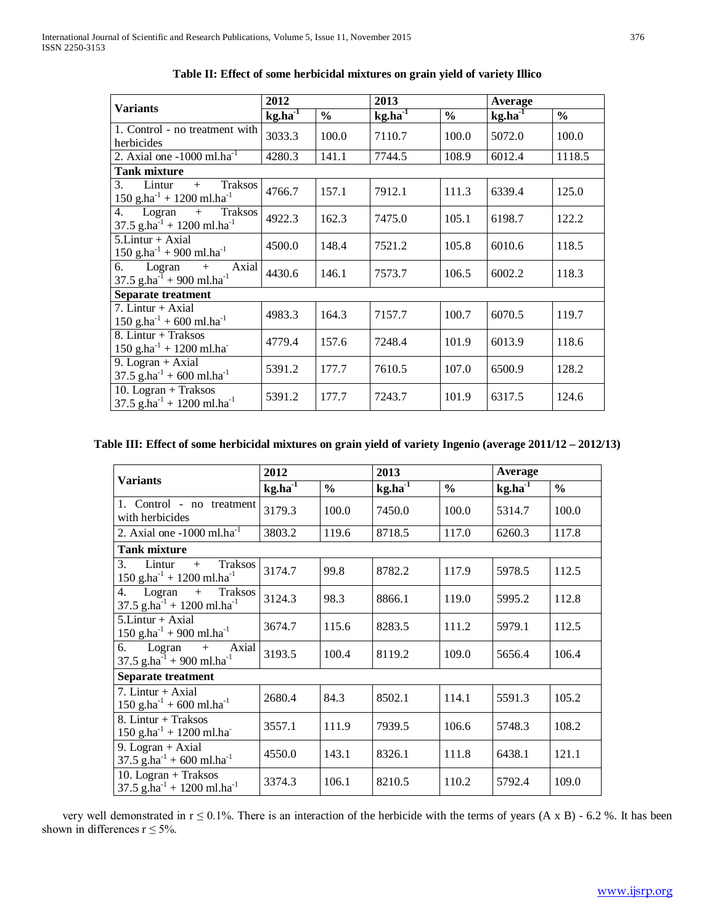|                                                                                            | 2012         |               | 2013         |               |                      |               |
|--------------------------------------------------------------------------------------------|--------------|---------------|--------------|---------------|----------------------|---------------|
| <b>Variants</b>                                                                            | $kg.ha^{-1}$ | $\frac{6}{6}$ | $kg.ha^{-1}$ | $\frac{0}{0}$ | Average<br>$kg.ha-1$ | $\frac{0}{0}$ |
| 1. Control - no treatment with<br>herbicides                                               | 3033.3       | 100.0         | 7110.7       | 100.0         | 5072.0               | 100.0         |
| 2. Axial one $-1000$ ml.ha <sup>-1</sup>                                                   | 4280.3       | 141.1         | 7744.5       | 108.9         | 6012.4               | 1118.5        |
| <b>Tank mixture</b>                                                                        |              |               |              |               |                      |               |
| 3.<br>Lintur<br><b>Traksos</b><br>$+$<br>150 g.ha <sup>-1</sup> + 1200 ml.ha <sup>-1</sup> | 4766.7       | 157.1         | 7912.1       | 111.3         | 6339.4               | 125.0         |
| 4.<br>Logran<br>Traksos<br>$+$<br>37.5 g.ha $^{-1}$ + 1200 ml.ha $^{-1}$                   | 4922.3       | 162.3         | 7475.0       | 105.1         | 6198.7               | 122.2         |
| $5.Lintur + Axial$<br>150 g.ha <sup>-1</sup> + 900 ml.ha <sup>-1</sup>                     | 4500.0       | 148.4         | 7521.2       | 105.8         | 6010.6               | 118.5         |
| Logran<br>Axial<br>6.<br>$+$<br>37.5 g.ha $^{-1}$ + 900 ml.ha <sup>-1</sup>                | 4430.6       | 146.1         | 7573.7       | 106.5         | 6002.2               | 118.3         |
| <b>Separate treatment</b>                                                                  |              |               |              |               |                      |               |
| 7. Lintur + Axial<br>$150$ g.ha <sup>-1</sup> + 600 ml.ha <sup>-1</sup>                    | 4983.3       | 164.3         | 7157.7       | 100.7         | 6070.5               | 119.7         |
| 8. Lintur + Traksos<br>$150$ g.ha <sup>-1</sup> + 1200 ml.ha <sup>-</sup>                  | 4779.4       | 157.6         | 7248.4       | 101.9         | 6013.9               | 118.6         |
| 9. Logran + Axial<br>$37.5$ g.ha <sup>-1</sup> + 600 ml.ha <sup>-1</sup>                   | 5391.2       | 177.7         | 7610.5       | 107.0         | 6500.9               | 128.2         |
| 10. Logran + Traksos<br>37.5 g.ha <sup>-1</sup> + 1200 ml.ha <sup>-1</sup>                 | 5391.2       | 177.7         | 7243.7       | 101.9         | 6317.5               | 124.6         |

**Table II: Effect of some herbicidal mixtures on grain yield of variety Illico**

# **Table III: Effect of some herbicidal mixtures on grain yield of variety Ingenio (average 2011/12 – 2012/13)**

|                                                                                       | 2012         |               | 2013      |               | Average   |               |
|---------------------------------------------------------------------------------------|--------------|---------------|-----------|---------------|-----------|---------------|
| <b>Variants</b>                                                                       | $kg.ha^{-1}$ | $\frac{0}{0}$ | $kg.ha-1$ | $\frac{0}{0}$ | $kg.ha-1$ | $\frac{0}{0}$ |
| 1. Control - no treatment<br>with herbicides                                          | 3179.3       | 100.0         | 7450.0    | 100.0         | 5314.7    | 100.0         |
| 2. Axial one $-1000$ ml.ha $^{-1}$                                                    | 3803.2       | 119.6         | 8718.5    | 117.0         | 6260.3    | 117.8         |
| <b>Tank mixture</b>                                                                   |              |               |           |               |           |               |
| 3.<br>Lintur<br>Traksos<br>$+$<br>$150$ g.ha <sup>-1</sup> + 1200 ml.ha <sup>-1</sup> | 3174.7       | 99.8          | 8782.2    | 117.9         | 5978.5    | 112.5         |
| 4.<br>Logran<br>Traksos<br>$+$<br>37.5 g.ha <sup>-1</sup> + 1200 ml.ha <sup>-1</sup>  | 3124.3       | 98.3          | 8866.1    | 119.0         | 5995.2    | 112.8         |
| $5.Lintur + Axial$<br>150 g.ha $^{-1}$ + 900 ml.ha $^{-1}$                            | 3674.7       | 115.6         | 8283.5    | 111.2         | 5979.1    | 112.5         |
| Logran<br>Axial<br>6.<br>$+$<br>37.5 g.ha <sup>-1</sup> + 900 ml.ha <sup>-1</sup>     | 3193.5       | 100.4         | 8119.2    | 109.0         | 5656.4    | 106.4         |
| Separate treatment                                                                    |              |               |           |               |           |               |
| 7. Lintur + Axial<br>150 g.ha <sup>-1</sup> + 600 ml.ha <sup>-1</sup>                 | 2680.4       | 84.3          | 8502.1    | 114.1         | 5591.3    | 105.2         |
| 8. Lintur + Traksos<br>150 g.ha $^{-1}$ + 1200 ml.ha $^{-}$                           | 3557.1       | 111.9         | 7939.5    | 106.6         | 5748.3    | 108.2         |
| 9. Logran + Axial<br>37.5 g.ha <sup>-1</sup> + 600 ml.ha <sup>-1</sup>                | 4550.0       | 143.1         | 8326.1    | 111.8         | 6438.1    | 121.1         |
| 10. Logran + Traksos<br>37.5 g.ha <sup>-1</sup> + 1200 ml.ha <sup>-1</sup>            | 3374.3       | 106.1         | 8210.5    | 110.2         | 5792.4    | 109.0         |

very well demonstrated in  $r \le 0.1$ %. There is an interaction of the herbicide with the terms of years  $(A \times B)$  - 6.2 %. It has been shown in differences  $r \le 5\%$ .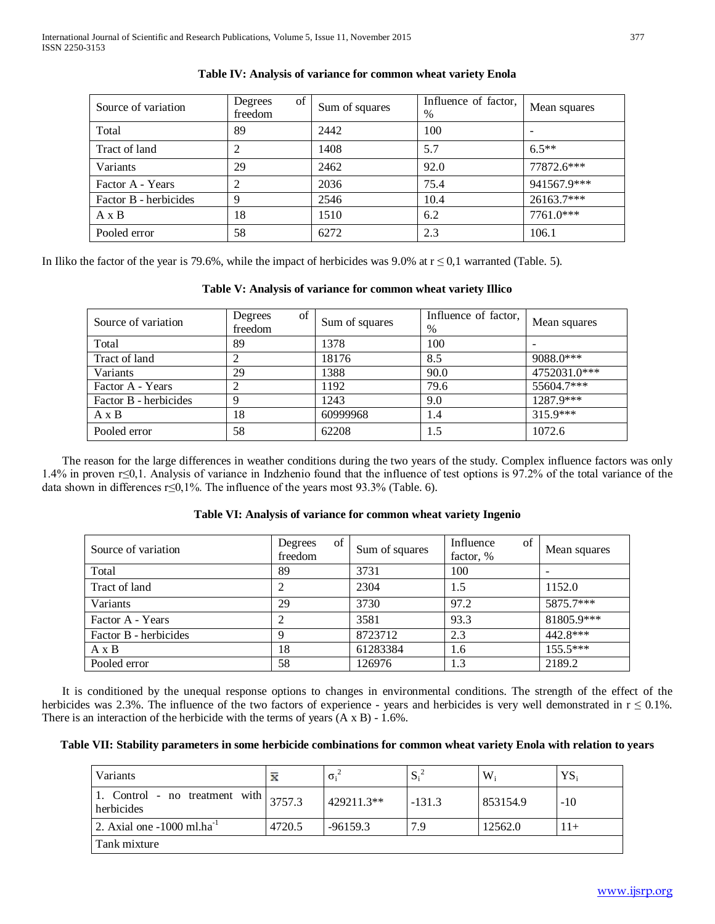| Source of variation   | of<br>Degrees<br>freedom | Sum of squares | Influence of factor,<br>$\%$ | Mean squares |
|-----------------------|--------------------------|----------------|------------------------------|--------------|
| Total                 | 89                       | 2442           | 100                          |              |
| Tract of land         | 2                        | 1408           | 5.7                          | $6.5**$      |
| Variants              | 29                       | 2462           | 92.0                         | 77872.6***   |
| Factor A - Years      | 2                        | 2036           | 75.4                         | 941567.9***  |
| Factor B - herbicides | 9                        | 2546           | 10.4                         | 26163.7***   |
| $A \times B$          | 18                       | 1510           | 6.2                          | 7761.0***    |
| Pooled error          | 58                       | 6272           | 2.3                          | 106.1        |

# **Table IV: Analysis of variance for common wheat variety Enola**

In Iliko the factor of the year is 79.6%, while the impact of herbicides was 9.0% at  $r \le 0.1$  warranted (Table. 5).

# **Table V: Analysis of variance for common wheat variety Illico**

| Source of variation   | of<br>Degrees<br>freedom | Sum of squares | Influence of factor,<br>$\%$ | Mean squares |
|-----------------------|--------------------------|----------------|------------------------------|--------------|
| Total                 | 89                       | 1378           | 100                          |              |
| Tract of land         | ∠                        | 18176          | 8.5                          | 9088.0***    |
| Variants              | 29                       | 1388           | 90.0                         | 4752031.0*** |
| Factor A - Years      |                          | 1192           | 79.6                         | $55604.7***$ |
| Factor B - herbicides | 9                        | 1243           | 9.0                          | 1287.9***    |
| $A \times B$          | 18                       | 60999968       | 1.4                          | $315.9***$   |
| Pooled error          | 58                       | 62208          | 1.5                          | 1072.6       |

 The reason for the large differences in weather conditions during the two years of the study. Complex influence factors was only 1.4% in proven r≤0,1. Analysis of variance in Indzhenio found that the influence of test options is 97.2% of the total variance of the data shown in differences r≤0,1%. The influence of the years most 93.3% (Table. 6).

# **Table VI: Analysis of variance for common wheat variety Ingenio**

| Source of variation   | of<br>Degrees<br>freedom | Sum of squares | Influence<br>of<br>factor, % | Mean squares |
|-----------------------|--------------------------|----------------|------------------------------|--------------|
| Total                 | 89                       | 3731           | 100                          |              |
| Tract of land         |                          | 2304           | 1.5                          | 1152.0       |
| Variants              | 29                       | 3730           | 97.2                         | 5875.7***    |
| Factor A - Years      |                          | 3581           | 93.3                         | 81805.9***   |
| Factor B - herbicides | Q                        | 8723712        | 2.3                          | 442.8***     |
| $A \times B$          | 18                       | 61283384       | 1.6                          | $155.5***$   |
| Pooled error          | 58                       | 126976         | 1.3                          | 2189.2       |

 It is conditioned by the unequal response options to changes in environmental conditions. The strength of the effect of the herbicides was 2.3%. The influence of the two factors of experience - years and herbicides is very well demonstrated in  $r \le 0.1$ %. There is an interaction of the herbicide with the terms of years  $(A \times B) - 1.6\%$ .

## **Table VII: Stability parameters in some herbicide combinations for common wheat variety Enola with relation to years**

| Variants                                     | x      | $\sigma_i$ | $S_i^2$  | $W_i$    | $YS_i$ |
|----------------------------------------------|--------|------------|----------|----------|--------|
| 1. Control - no treatment with<br>herbicides | 3757.3 | 429211.3** | $-131.3$ | 853154.9 | $-10$  |
| 2. Axial one $-1000$ ml.ha <sup>-1</sup>     | 4720.5 | $-96159.3$ | 7.9      | 12562.0  |        |
| Tank mixture                                 |        |            |          |          |        |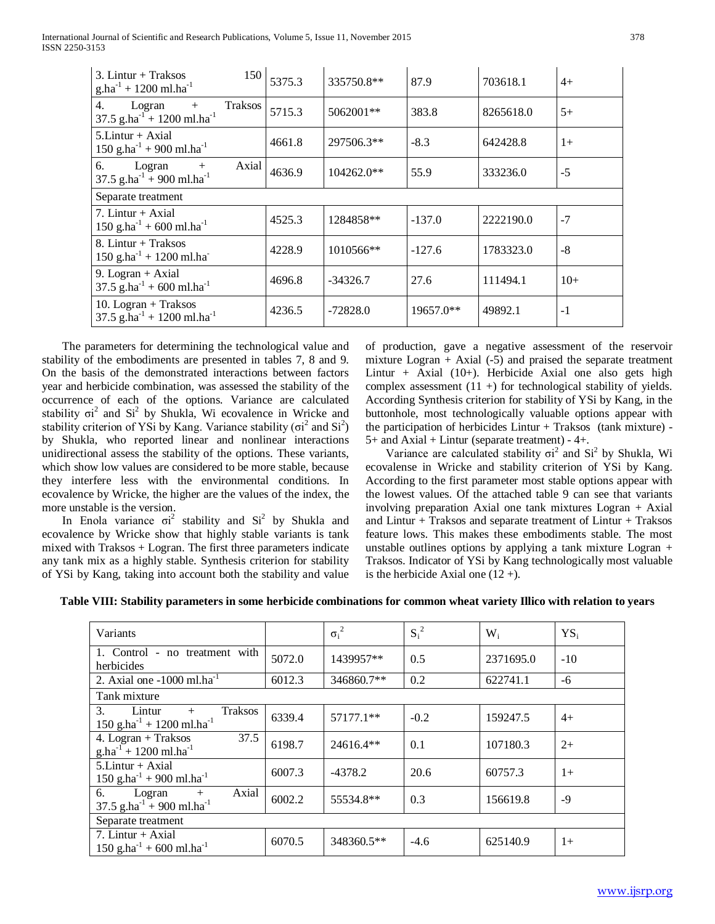International Journal of Scientific and Research Publications, Volume 5, Issue 11, November 2015 378 ISSN 2250-3153

| $3.$ Lintur + Traksos<br>150<br>$g.ha^{-1} + 1200$ ml.ha <sup>-1</sup>          | 5375.3 | 335750.8**   | 87.9      | 703618.1  | $4+$  |
|---------------------------------------------------------------------------------|--------|--------------|-----------|-----------|-------|
| 4.<br><b>Traksos</b><br>Logran<br>$+$<br>37.5 g.ha $^{-1}$ + 1200 ml.ha $^{-1}$ | 5715.3 | 5062001**    | 383.8     | 8265618.0 | $5+$  |
| $5.Lintur + Axial$<br>$150$ g.ha <sup>-1</sup> + 900 ml.ha <sup>-1</sup>        | 4661.8 | 297506.3**   | $-8.3$    | 642428.8  | $1+$  |
| Logran<br>Axial<br>6.<br>$+$<br>37.5 $g.ha^{-1} + 900$ ml.ha <sup>-1</sup>      | 4636.9 | $104262.0**$ | 55.9      | 333236.0  | $-5$  |
| Separate treatment                                                              |        |              |           |           |       |
| 7. Lintur $+$ Axial<br>$150$ g.ha <sup>-1</sup> + 600 ml.ha <sup>-1</sup>       | 4525.3 | 1284858**    | $-137.0$  | 2222190.0 | $-7$  |
| 8. Lintur + Traksos<br>$150$ g.ha <sup>-1</sup> + 1200 ml.ha <sup>-</sup>       | 4228.9 | 1010566**    | $-127.6$  | 1783323.0 | $-8$  |
| 9. Logran + Axial<br>$37.5$ g.ha <sup>-1</sup> + 600 ml.ha <sup>-1</sup>        | 4696.8 | $-34326.7$   | 27.6      | 111494.1  | $10+$ |
| 10. Logran + Traksos<br>37.5 g.ha <sup>-1</sup> + 1200 ml.ha <sup>-1</sup>      | 4236.5 | -72828.0     | 19657.0** | 49892.1   | $-1$  |

 The parameters for determining the technological value and stability of the embodiments are presented in tables 7, 8 and 9. On the basis of the demonstrated interactions between factors year and herbicide combination, was assessed the stability of the occurrence of each of the options. Variance are calculated stability  $\sigma i^2$  and  $Si^2$  by Shukla, Wi ecovalence in Wricke and stability criterion of YSi by Kang. Variance stability ( $\sigma$ i<sup>2</sup> and Si<sup>2</sup>) by Shukla, who reported linear and nonlinear interactions unidirectional assess the stability of the options. These variants, which show low values are considered to be more stable, because they interfere less with the environmental conditions. In ecovalence by Wricke, the higher are the values of the index, the more unstable is the version.

In Enola variance  $\sigma i^2$  stability and  $Si^2$  by Shukla and ecovalence by Wricke show that highly stable variants is tank mixed with Traksos + Logran. The first three parameters indicate any tank mix as a highly stable. Synthesis criterion for stability of YSi by Kang, taking into account both the stability and value

of production, gave a negative assessment of the reservoir mixture Logran  $+$  Axial (-5) and praised the separate treatment Lintur + Axial (10+). Herbicide Axial one also gets high complex assessment  $(11 +)$  for technological stability of yields. According Synthesis criterion for stability of YSi by Kang, in the buttonhole, most technologically valuable options appear with the participation of herbicides  $Limit + Traksos$  (tank mixture) - $5+$  and Axial + Lintur (separate treatment) - 4+.

Variance are calculated stability  $\sigma$ <sup>2</sup> and S<sup>2</sup> by Shukla, Wi ecovalense in Wricke and stability criterion of YSi by Kang. According to the first parameter most stable options appear with the lowest values. Of the attached table 9 can see that variants involving preparation Axial one tank mixtures Logran + Axial and Lintur + Traksos and separate treatment of Lintur + Traksos feature lows. This makes these embodiments stable. The most unstable outlines options by applying a tank mixture Logran + Traksos. Indicator of YSi by Kang technologically most valuable is the herbicide Axial one  $(12 +)$ .

|  |  | Table VIII: Stability parameters in some herbicide combinations for common wheat variety Illico with relation to years |  |
|--|--|------------------------------------------------------------------------------------------------------------------------|--|
|  |  |                                                                                                                        |  |

| Variants                                                                                                 |        | $\sigma_i^2$ | $S_i^2$ | $W_i$     | $YS_i$ |
|----------------------------------------------------------------------------------------------------------|--------|--------------|---------|-----------|--------|
| 1. Control - no treatment with<br>herbicides                                                             | 5072.0 | 1439957**    | 0.5     | 2371695.0 | $-10$  |
| 2. Axial one $-1000$ ml.ha <sup>-1</sup>                                                                 | 6012.3 | 346860.7**   | 0.2     | 622741.1  | -6     |
| Tank mixture                                                                                             |        |              |         |           |        |
| 3 <sub>1</sub><br><b>Traksos</b><br>Lintur<br>$+$<br>$150$ g.ha <sup>-1</sup> + 1200 ml.ha <sup>-1</sup> | 6339.4 | 57177.1**    | $-0.2$  | 159247.5  | $4+$   |
| 4. Logran + Traksos<br>37.5<br>$g.ha^{-1} + 1200$ ml.ha <sup>-1</sup>                                    | 6198.7 | 24616.4**    | 0.1     | 107180.3  | $2+$   |
| $5.Lintur + Axial$<br>$150$ g.ha <sup>-1</sup> + 900 ml.ha <sup>-1</sup>                                 | 6007.3 | -4378.2      | 20.6    | 60757.3   | $1+$   |
| 6.<br>Axial<br>Logran<br>$+$<br>37.5 g.ha $^{-1}$ + 900 ml.ha <sup>-1</sup>                              | 6002.2 | 55534.8**    | 0.3     | 156619.8  | $-9$   |
| Separate treatment                                                                                       |        |              |         |           |        |
| 7. Lintur + Axial<br>150 g.ha <sup>-1</sup> + 600 ml.ha <sup>-1</sup>                                    | 6070.5 | 348360.5**   | $-4.6$  | 625140.9  | $1+$   |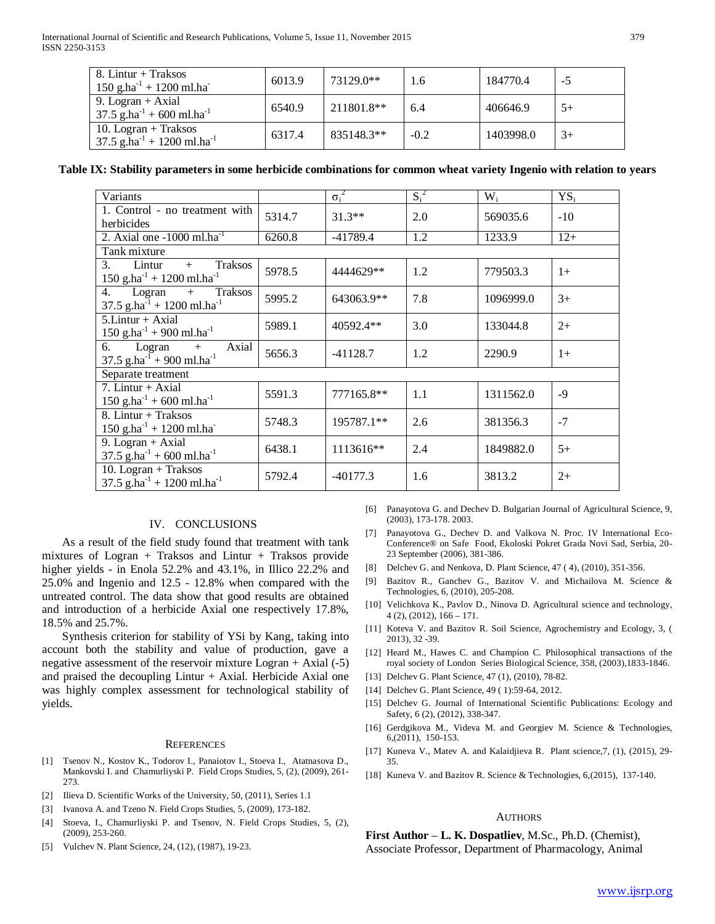| 8. Lintur + Traksos<br>$150$ g.ha <sup>-1</sup> + 1200 ml.ha <sup>-1</sup>   | 6013.9 | 73129.0**  | 1.6    | 184770.4  | -5   |
|------------------------------------------------------------------------------|--------|------------|--------|-----------|------|
| 9. Logran + Axial<br>$37.5$ g.ha <sup>-1</sup> + 600 ml.ha <sup>-1</sup>     | 6540.9 | 211801.8** | 6.4    | 406646.9  | $5+$ |
| 10. Logran + Traksos<br>$37.5$ g.ha <sup>-1</sup> + 1200 ml.ha <sup>-1</sup> | 6317.4 | 835148.3** | $-0.2$ | 1403998.0 | $3+$ |

**Table IX: Stability parameters in some herbicide combinations for common wheat variety Ingenio with relation to years**

| Variants                                                                             |        | $\sigma_i^2$ | $S_i^2$ | $W_i$     | $YS_i$ |
|--------------------------------------------------------------------------------------|--------|--------------|---------|-----------|--------|
| 1. Control - no treatment with<br>herbicides                                         | 5314.7 | $31.3**$     | 2.0     | 569035.6  | $-10$  |
| 2. Axial one $-1000$ ml.ha <sup>-1</sup>                                             | 6260.8 | $-41789.4$   | 1.2     | 1233.9    | $12+$  |
| Tank mixture                                                                         |        |              |         |           |        |
| Lintur<br>Traksos<br>3.<br>$+$<br>150 g.ha <sup>-1</sup> + 1200 ml.ha <sup>-1</sup>  | 5978.5 | 4444629**    | 1.2     | 779503.3  | $1+$   |
| Traksos<br>4.<br>Logran<br>$+$<br>37.5 g.ha <sup>-1</sup> + 1200 ml.ha <sup>-1</sup> | 5995.2 | 643063.9**   | 7.8     | 1096999.0 | $3+$   |
| $5.Lintur + Axial$<br>150 g.ha <sup>-1</sup> + 900 ml.ha <sup>-1</sup>               | 5989.1 | 40592.4**    | 3.0     | 133044.8  | $2+$   |
| Logran<br>6.<br>Axial<br>$+$<br>37.5 g.ha $^{-1}$ + 900 ml.ha <sup>-1</sup>          | 5656.3 | $-41128.7$   | 1.2     | 2290.9    | $1+$   |
| Separate treatment                                                                   |        |              |         |           |        |
| 7. Lintur + Axial<br>150 g.ha <sup>-1</sup> + 600 ml.ha <sup>-1</sup>                | 5591.3 | 777165.8**   | 1.1     | 1311562.0 | $-9$   |
| 8. Lintur + Traksos<br>$150$ g.ha <sup>-1</sup> + 1200 ml.ha <sup>-</sup>            | 5748.3 | 195787.1**   | 2.6     | 381356.3  | $-7$   |
| 9. Logran + Axial<br>37.5 g.ha <sup>-1</sup> + 600 ml.ha <sup>-1</sup>               | 6438.1 | 1113616**    | 2.4     | 1849882.0 | $5+$   |
| 10. Logran + Traksos<br>37.5 g.ha <sup>-1</sup> + 1200 ml.ha <sup>-1</sup>           | 5792.4 | $-40177.3$   | 1.6     | 3813.2    | $2+$   |

### IV. CONCLUSIONS

 As a result of the field study found that treatment with tank mixtures of Logran + Traksos and Lintur + Traksos provide higher yields - in Enola 52.2% and 43.1%, in Illico 22.2% and 25.0% and Ingenio and 12.5 - 12.8% when compared with the untreated control. The data show that good results are obtained and introduction of a herbicide Axial one respectively 17.8%, 18.5% and 25.7%.

 Synthesis criterion for stability of YSi by Kang, taking into account both the stability and value of production, gave a negative assessment of the reservoir mixture Logran + Axial (-5) and praised the decoupling  $Limit + Axial$ . Herbicide Axial one was highly complex assessment for technological stability of yields.

#### **REFERENCES**

- [1] Tsenov N., Kostov K., Todorov I., Panaiotov I., Stoeva I., Atatnasova D., Mankovski I. and Chamurliyski P. Field Crops Studies, 5, (2), (2009), 261- 273.
- [2] Ilieva D. Scientific Works of the University, 50, (2011), Series 1.1
- [3] Ivanova A. and Tzeno N. Field Crops Studies, 5, (2009), 173-182.
- [4] Stoeva, I., Chamurliyski P. and Tsenov, N. Field Crops Studies, 5, (2), (2009), 253-260.
- [5] Vulchev N. Plant Science, 24, (12), (1987), 19-23.
- [6] Panayotova G. and Dechev D. Bulgarian Journal of Agricultural Science, 9, (2003), 173-178. 2003.
- [7] Panayotova G., Dechev D. and Valkova N. Proc. IV International Eco-Conference® on Safe Food, Ekoloski Pokret Grada Novi Sad, Serbia, 20- 23 September (2006), 381-386.
- [8] Delchev G. and Nenkova, D. Plant Science, 47 (4), (2010), 351-356.
- [9] Bazitov R., Ganchev G., Bazitov V. and Michailova M. Science & Technologies, 6, (2010), 205-208.
- [10] Velichkova K., Pavlov D., Ninova D. Agricultural science and technology,  $4$  (2), (2012), 166 – 171.
- [11] Koteva V. and Bazitov R. Soil Science, Agrochemistry and Ecology, 3, ( 2013), 32 -39.
- [12] Heard M., Hawes C. and Champion C. Philosophical transactions of the royal society of London Series Biological Science, 358, (2003),1833-1846.
- [13] Delchev G. Plant Science, 47 (1), (2010), 78-82.
- [14] Delchev G. Plant Science, 49 (1):59-64, 2012.
- [15] Delchev G. Journal of International Scientific Publications: Ecology and Safety, 6 (2), (2012), 338-347.
- [16] Gerdgikova M., Videva M. and Georgiev M. Science & Technologies, 6,(2011), 150-153.
- [17] Kuneva V., Matev A. and Kalaidjieva R. Plant science, 7, (1), (2015), 29-35.
- [18] Kuneva V. and Bazitov R. Science & Technologies, 6,(2015), 137-140.

#### **AUTHORS**

**First Author** – **L. K. Dospatliev**, M.Sc., Ph.D. (Chemist), Associate Professor, Department of Pharmacology, Animal